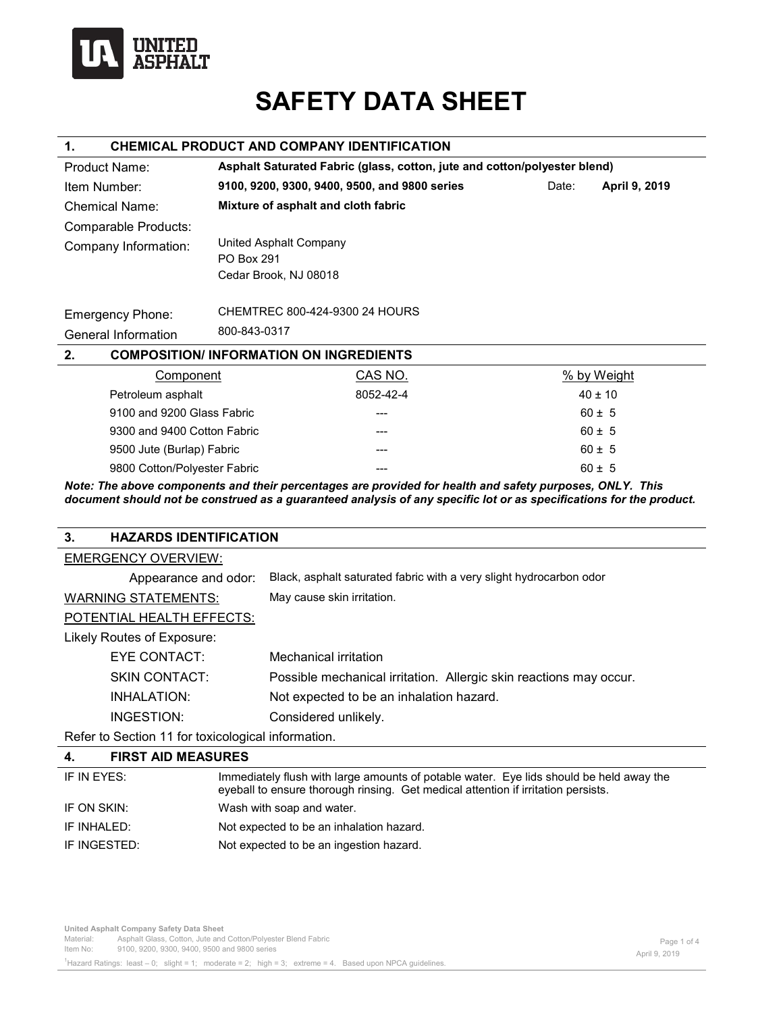

# **SAFETY DATA SHEET**

#### **1. CHEMICAL PRODUCT AND COMPANY IDENTIFICATION**

| Product Name:               | Asphalt Saturated Fabric (glass, cotton, jute and cotton/polyester blend) |                                               |             |               |
|-----------------------------|---------------------------------------------------------------------------|-----------------------------------------------|-------------|---------------|
| Item Number:                |                                                                           | 9100, 9200, 9300, 9400, 9500, and 9800 series | Date:       | April 9, 2019 |
| Chemical Name:              | Mixture of asphalt and cloth fabric                                       |                                               |             |               |
| Comparable Products:        |                                                                           |                                               |             |               |
| Company Information:        | United Asphalt Company<br><b>PO Box 291</b>                               |                                               |             |               |
|                             | Cedar Brook, NJ 08018                                                     |                                               |             |               |
| <b>Emergency Phone:</b>     |                                                                           | CHEMTREC 800-424-9300 24 HOURS                |             |               |
| General Information         | 800-843-0317                                                              |                                               |             |               |
| 2.                          |                                                                           | <b>COMPOSITION/INFORMATION ON INGREDIENTS</b> |             |               |
| Component                   |                                                                           | CAS NO.                                       | % by Weight |               |
| Petroleum asphalt           |                                                                           | 8052-42-4                                     |             | $40 \pm 10$   |
| 9100 and 9200 Glass Fabric  |                                                                           | ---                                           |             | $60 \pm 5$    |
| 9300 and 9400 Cotton Fabric |                                                                           |                                               |             | $60 \pm 5$    |

9800 Cotton/Polyester Fabric  $\qquad \qquad \qquad ----$  60 ± 5 *Note: The above components and their percentages are provided for health and safety purposes, ONLY. This document should not be construed as a guaranteed analysis of any specific lot or as specifications for the product.* 

9500 Jute (Burlap) Fabric  $\begin{array}{ccc} --2 & -2 & -2 \end{array}$  60 ± 5

# **3. HAZARDS IDENTIFICATION**

| <b>EMERGENCY OVERVIEW:</b>                               |                                                                     |
|----------------------------------------------------------|---------------------------------------------------------------------|
| Appearance and odor:                                     | Black, asphalt saturated fabric with a very slight hydrocarbon odor |
| <b>WARNING STATEMENTS:</b>                               | May cause skin irritation.                                          |
| POTENTIAL HEALTH EFFECTS:                                |                                                                     |
| Likely Routes of Exposure:                               |                                                                     |
| EYE CONTACT:                                             | Mechanical irritation                                               |
| <b>SKIN CONTACT:</b>                                     | Possible mechanical irritation. Allergic skin reactions may occur.  |
| INHALATION:                                              | Not expected to be an inhalation hazard.                            |
| INGESTION:                                               | Considered unlikely.                                                |
| <b>Defer to Section 11 for toxicological information</b> |                                                                     |

Refer to Section 11 for toxicological information.

| 4.           | <b>FIRST AID MEASURES</b> |                                                                                                                                                                              |
|--------------|---------------------------|------------------------------------------------------------------------------------------------------------------------------------------------------------------------------|
| IF IN EYES:  |                           | Immediately flush with large amounts of potable water. Eye lids should be held away the<br>eyeball to ensure thorough rinsing. Get medical attention if irritation persists. |
| IF ON SKIN:  |                           | Wash with soap and water.                                                                                                                                                    |
| IF INHALED:  |                           | Not expected to be an inhalation hazard.                                                                                                                                     |
| IF INGESTED: |                           | Not expected to be an ingestion hazard.                                                                                                                                      |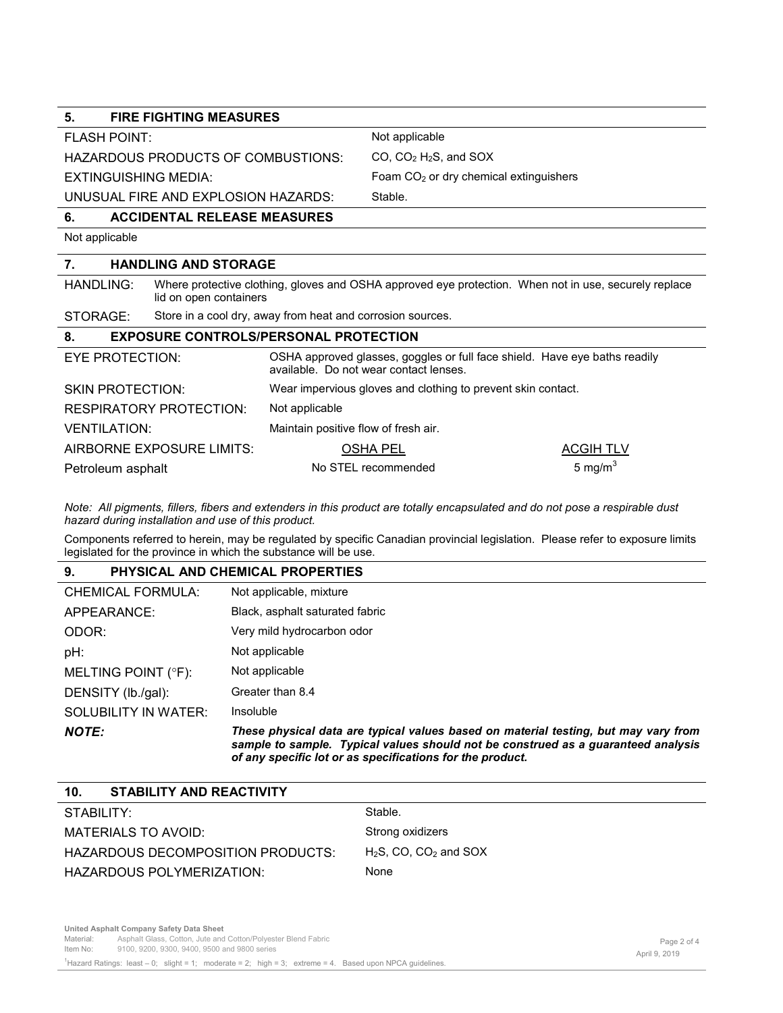FLASH POINT: Not applicable

HAZARDOUS PRODUCTS OF COMBUSTIONS: CO, CO<sub>2</sub> H<sub>2</sub>S, and SOX

EXTINGUISHING MEDIA: Foam CO<sub>2</sub> or dry chemical extinguishers

UNUSUAL FIRE AND EXPLOSION HAZARDS: Stable.

## **6. ACCIDENTAL RELEASE MEASURES**

Not applicable

# **7. HANDLING AND STORAGE**

HANDLING: Where protective clothing, gloves and OSHA approved eye protection. When not in use, securely replace lid on open containers

STORAGE: Store in a cool dry, away from heat and corrosion sources.

#### **8. EXPOSURE CONTROLS/PERSONAL PROTECTION**

| EYE PROTECTION:                | OSHA approved glasses, goggles or full face shield. Have eye baths readily<br>available. Do not wear contact lenses. |                  |  |
|--------------------------------|----------------------------------------------------------------------------------------------------------------------|------------------|--|
| <b>SKIN PROTECTION:</b>        | Wear impervious gloves and clothing to prevent skin contact.                                                         |                  |  |
| <b>RESPIRATORY PROTECTION:</b> | Not applicable                                                                                                       |                  |  |
| <b>VENTILATION:</b>            | Maintain positive flow of fresh air.                                                                                 |                  |  |
| AIRBORNE EXPOSURE LIMITS:      | OSHA PEL                                                                                                             | <b>ACGIH TLV</b> |  |
| Petroleum asphalt              | No STEL recommended                                                                                                  | 5 mg/m $3$       |  |

*Note: All pigments, fillers, fibers and extenders in this product are totally encapsulated and do not pose a respirable dust hazard during installation and use of this product.* 

Components referred to herein, may be regulated by specific Canadian provincial legislation. Please refer to exposure limits legislated for the province in which the substance will be use.

### **9. PHYSICAL AND CHEMICAL PROPERTIES**

| <b>NOTE:</b>         | These physical data are typical values based on material testing, but may vary from<br>sample to sample. Typical values should not be construed as a guaranteed analysis<br>of any specific lot or as specifications for the product. |
|----------------------|---------------------------------------------------------------------------------------------------------------------------------------------------------------------------------------------------------------------------------------|
| SOLUBILITY IN WATER: | Insoluble                                                                                                                                                                                                                             |
| DENSITY (lb./gal):   | Greater than 8.4                                                                                                                                                                                                                      |
| MELTING POINT (°F):  | Not applicable                                                                                                                                                                                                                        |
| pH:                  | Not applicable                                                                                                                                                                                                                        |
| ODOR:                | Very mild hydrocarbon odor                                                                                                                                                                                                            |
| APPEARANCE:          | Black, asphalt saturated fabric                                                                                                                                                                                                       |
| CHEMICAL FORMULA:    | Not applicable, mixture                                                                                                                                                                                                               |

| 10 <sub>1</sub><br><b>STABILITY AND REACTIVITY</b> |                                      |
|----------------------------------------------------|--------------------------------------|
| STABILITY:                                         | Stable.                              |
| MATERIALS TO AVOID:                                | Strong oxidizers                     |
| HAZARDOUS DECOMPOSITION PRODUCTS:                  | $H_2S$ , CO, CO <sub>2</sub> and SOX |
| HAZARDOUS POLYMERIZATION:                          | None                                 |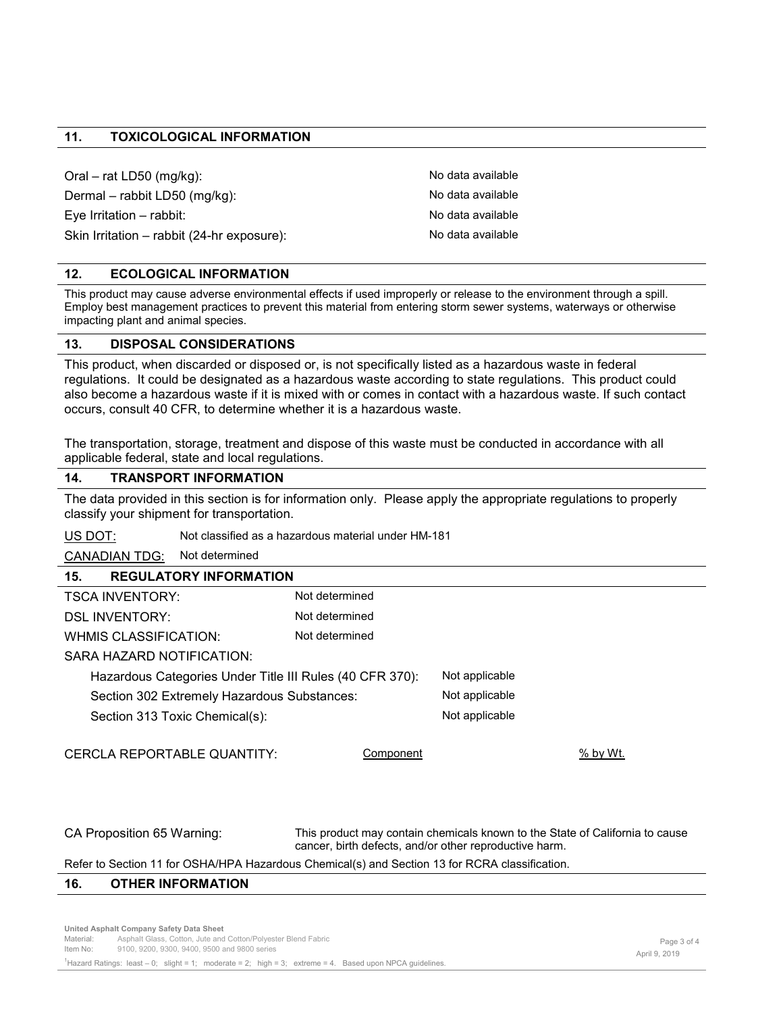#### **11. TOXICOLOGICAL INFORMATION**

Oral – rat LD50 (mg/kg): No data available Dermal – rabbit LD50 (mg/kg): No data available Eye Irritation – rabbit: No data available Skin Irritation – rabbit (24-hr exposure): No data available

#### **12. ECOLOGICAL INFORMATION**

This product may cause adverse environmental effects if used improperly or release to the environment through a spill. Employ best management practices to prevent this material from entering storm sewer systems, waterways or otherwise impacting plant and animal species.

#### **13. DISPOSAL CONSIDERATIONS**

This product, when discarded or disposed or, is not specifically listed as a hazardous waste in federal regulations. It could be designated as a hazardous waste according to state regulations. This product could also become a hazardous waste if it is mixed with or comes in contact with a hazardous waste. If such contact occurs, consult 40 CFR, to determine whether it is a hazardous waste.

The transportation, storage, treatment and dispose of this waste must be conducted in accordance with all applicable federal, state and local regulations.

#### **14. TRANSPORT INFORMATION**

The data provided in this section is for information only. Please apply the appropriate regulations to properly classify your shipment for transportation.

US DOT: Not classified as a hazardous material under HM-181

CANADIAN TDG: Not determined

#### **15. REGULATORY INFORMATION**

| Not determined                                           |  |                                                    |
|----------------------------------------------------------|--|----------------------------------------------------|
| Not determined                                           |  |                                                    |
| Not determined                                           |  |                                                    |
|                                                          |  |                                                    |
| Hazardous Categories Under Title III Rules (40 CFR 370): |  |                                                    |
| Section 302 Extremely Hazardous Substances:              |  |                                                    |
| Section 313 Toxic Chemical(s):                           |  |                                                    |
|                                                          |  |                                                    |
| Component                                                |  | $%$ by Wt.                                         |
|                                                          |  | Not applicable<br>Not applicable<br>Not applicable |

CA Proposition 65 Warning: This product may contain chemicals known to the State of California to cause cancer, birth defects, and/or other reproductive harm.

#### Refer to Section 11 for OSHA/HPA Hazardous Chemical(s) and Section 13 for RCRA classification.

#### **16. OTHER INFORMATION**